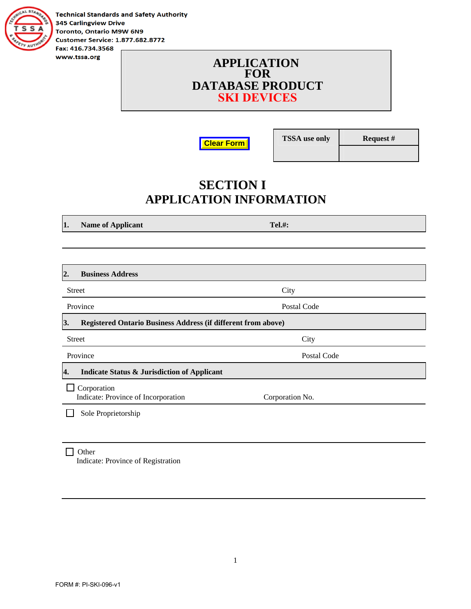

**Technical Standards and Safety Authority 345 Carlingview Drive** Toronto, Ontario M9W 6N9 **Customer Service: 1.877.682.8772** Fax: 416.734.3568

> **APPLICATION FOR DATABASE PRODUCT SKI DEVICES**

**Clear Form**

**TSSA use only Request #** 

## **SECTION I APPLICATION INFORMATION**

**1.** Name of Applicant Tel.#:

| <b>Business Address</b><br>2.                                       |                 |  |
|---------------------------------------------------------------------|-----------------|--|
| <b>Street</b>                                                       | City            |  |
| Province                                                            | Postal Code     |  |
| 3.<br>Registered Ontario Business Address (if different from above) |                 |  |
| <b>Street</b>                                                       | City            |  |
| Province                                                            | Postal Code     |  |
| <b>Indicate Status &amp; Jurisdiction of Applicant</b><br>4.        |                 |  |
| Corporation<br>Indicate: Province of Incorporation                  | Corporation No. |  |
| Sole Proprietorship                                                 |                 |  |
|                                                                     |                 |  |

□ Other Indicate: Province of Registration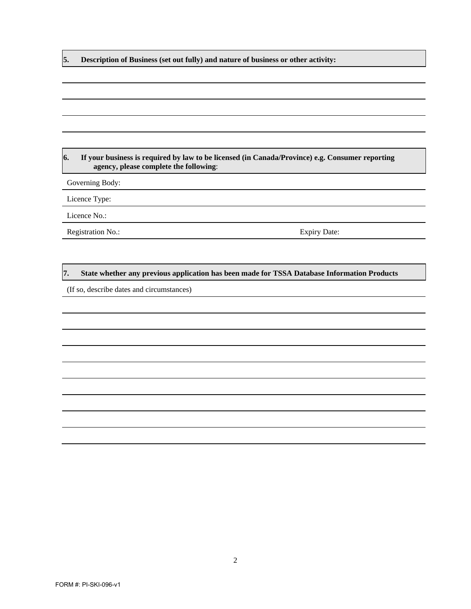**5. Description of Business (set out fully) and nature of business or other activity:** 

#### **6. If your business is required by law to be licensed (in Canada/Province) e.g. Consumer reporting agency, please complete the following**:

Governing Body:

Licence Type:

Licence No.:

Registration No.: Expiry Date:

#### **7. State whether any previous application has been made for TSSA Database Information Products**

(If so, describe dates and circumstances)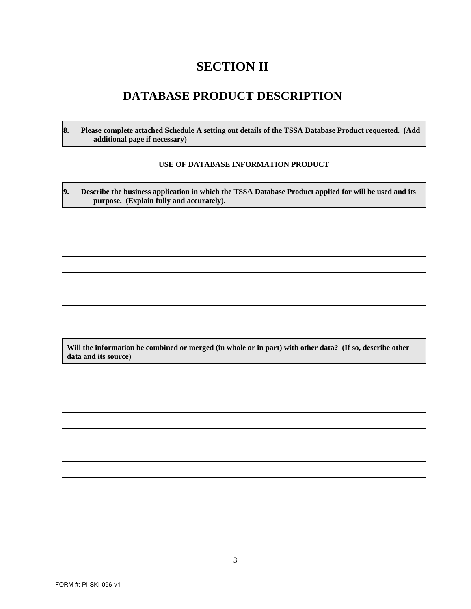## **SECTION II**

### **DATABASE PRODUCT DESCRIPTION**

**8. Please complete attached Schedule A setting out details of the TSSA Database Product requested. (Add additional page if necessary)** 

#### **USE OF DATABASE INFORMATION PRODUCT**

**9. Describe the business application in which the TSSA Database Product applied for will be used and its purpose. (Explain fully and accurately).** 

**Will the information be combined or merged (in whole or in part) with other data? (If so, describe other data and its source)**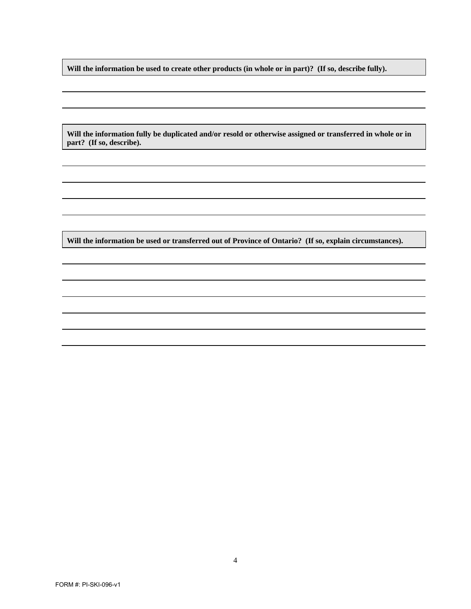**Will the information be used to create other products (in whole or in part)? (If so, describe fully).** 

**Will the information fully be duplicated and/or resold or otherwise assigned or transferred in whole or in part? (If so, describe).** 

**Will the information be used or transferred out of Province of Ontario? (If so, explain circumstances).**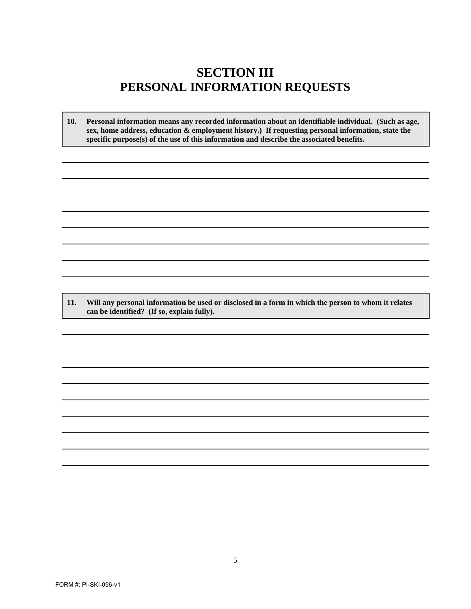### **SECTION III PERSONAL INFORMATION REQUESTS**

**10. Personal information means any recorded information about an identifiable individual. (Such as age, sex, home address, education & employment history.) If requesting personal information, state the specific purpose(s) of the use of this information and describe the associated benefits.**

**11. Will any personal information be used or disclosed in a form in which the person to whom it relates can be identified? (If so, explain fully).**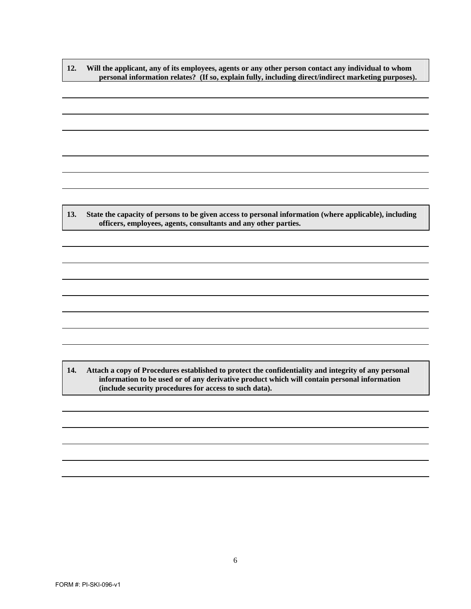**12. Will the applicant, any of its employees, agents or any other person contact any individual to whom personal information relates? (If so, explain fully, including direct/indirect marketing purposes).** 

**13. State the capacity of persons to be given access to personal information (where applicable), including officers, employees, agents, consultants and any other parties.** 

**14. Attach a copy of Procedures established to protect the confidentiality and integrity of any personal information to be used or of any derivative product which will contain personal information (include security procedures for access to such data).**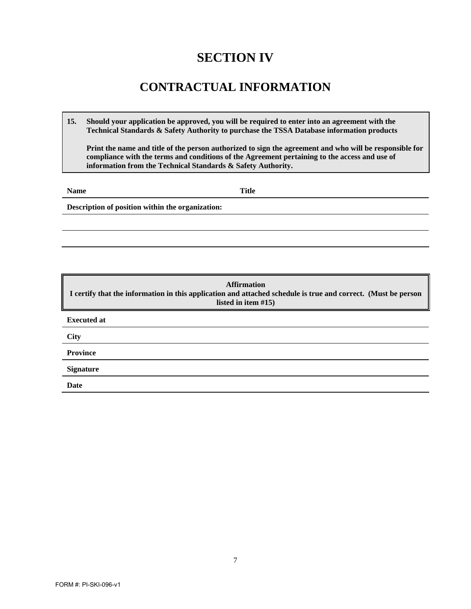## **SECTION IV**

## **CONTRACTUAL INFORMATION**

**15. Should your application be approved, you will be required to enter into an agreement with the Technical Standards & Safety Authority to purchase the TSSA Database information products**

**Print the name and title of the person authorized to sign the agreement and who will be responsible for compliance with the terms and conditions of the Agreement pertaining to the access and use of information from the Technical Standards & Safety Authority.**

**Name** Title

**Description of position within the organization:** 

**Affirmation I certify that the information in this application and attached schedule is true and correct. (Must be person listed in item #15) Executed at City Province Signature Date**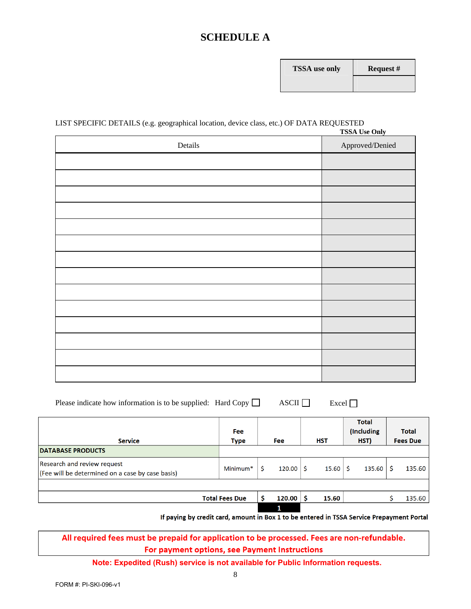### **SCHEDULE A**

| <b>FSSA</b> use only | R٥ |
|----------------------|----|
|                      |    |

#### LIST SPECIFIC DETAILS (e.g. geographical location, device class, etc.) OF DATA REQUESTED **TSSA Use Only**

| <b>155A Use Only</b> |                 |  |
|----------------------|-----------------|--|
| Details              | Approved/Denied |  |
|                      |                 |  |
|                      |                 |  |
|                      |                 |  |
|                      |                 |  |
|                      |                 |  |
|                      |                 |  |
|                      |                 |  |
|                      |                 |  |
|                      |                 |  |
|                      |                 |  |
|                      |                 |  |
|                      |                 |  |
|                      |                 |  |
|                      |                 |  |

| Please indicate how information is to be supplied: Hard Copy $\Box$ |  | $\triangle$ SCII $\Box$ Excel $\Box$ |  |
|---------------------------------------------------------------------|--|--------------------------------------|--|
|---------------------------------------------------------------------|--|--------------------------------------|--|

| <b>Service</b>                                                                  | <b>Fee</b><br><b>Type</b> | <b>Fee</b> | <b>HST</b> | <b>Total</b><br>(Including<br>HST) | <b>Total</b><br><b>Fees Due</b> |
|---------------------------------------------------------------------------------|---------------------------|------------|------------|------------------------------------|---------------------------------|
| <b>DATABASE PRODUCTS</b>                                                        |                           |            |            |                                    |                                 |
| Research and review request<br>(Fee will be determined on a case by case basis) | Minimum <sup>*</sup>      | 120.00     | 15.60      | 135.60                             | 135.60                          |
|                                                                                 |                           |            |            |                                    |                                 |
|                                                                                 | <b>Total Fees Due</b>     | 120.00     | 15.60      |                                    | 135.60                          |
|                                                                                 |                           | 1          |            |                                    |                                 |

If paying by credit card, amount in Box 1 to be entered in TSSA Service Prepayment Portal

#### All required fees must be prepaid for application to be processed. Fees are non-refundable. For payment options, see Payment Instructions

**Note: Expedited (Rush) service is not available for Public Information requests.**